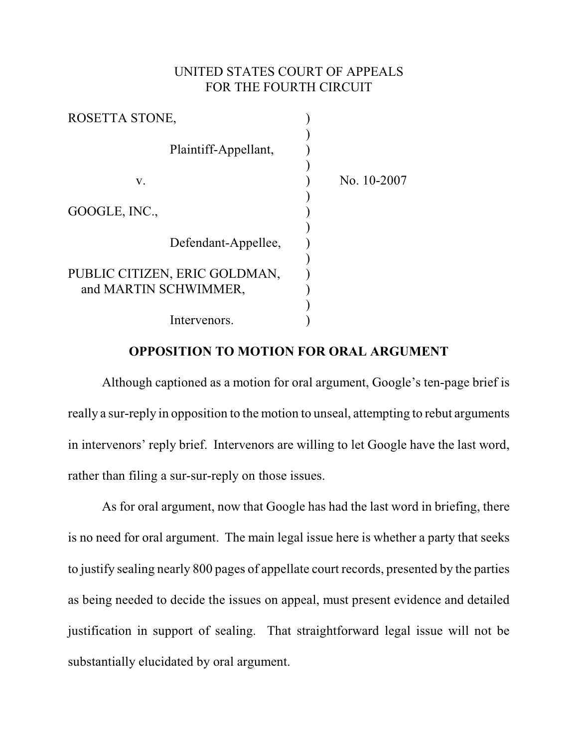## UNITED STATES COURT OF APPEALS FOR THE FOURTH CIRCUIT

| ROSETTA STONE,                |             |
|-------------------------------|-------------|
| Plaintiff-Appellant,          |             |
| V.                            | No. 10-2007 |
| GOOGLE, INC.,                 |             |
| Defendant-Appellee,           |             |
| PUBLIC CITIZEN, ERIC GOLDMAN, |             |
| and MARTIN SCHWIMMER,         |             |
| Intervenors.                  |             |

## **OPPOSITION TO MOTION FOR ORAL ARGUMENT**

Although captioned as a motion for oral argument, Google's ten-page brief is really a sur-reply in opposition to the motion to unseal, attempting to rebut arguments in intervenors' reply brief. Intervenors are willing to let Google have the last word, rather than filing a sur-sur-reply on those issues.

As for oral argument, now that Google has had the last word in briefing, there is no need for oral argument. The main legal issue here is whether a party that seeks to justify sealing nearly 800 pages of appellate court records, presented by the parties as being needed to decide the issues on appeal, must present evidence and detailed justification in support of sealing. That straightforward legal issue will not be substantially elucidated by oral argument.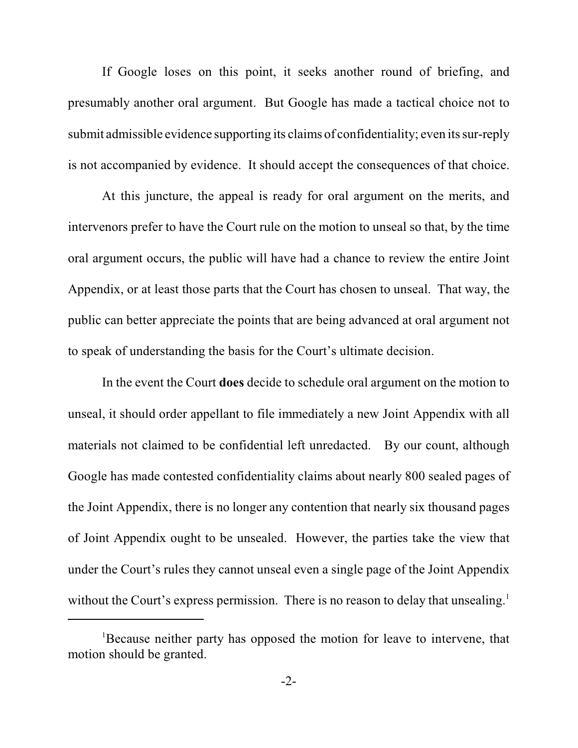If Google loses on this point, it seeks another round of briefing, and presumably another oral argument. But Google has made a tactical choice not to submit admissible evidence supporting its claims of confidentiality; even its sur-reply is not accompanied by evidence. It should accept the consequences of that choice.

At this juncture, the appeal is ready for oral argument on the merits, and intervenors prefer to have the Court rule on the motion to unseal so that, by the time oral argument occurs, the public will have had a chance to review the entire Joint Appendix, or at least those parts that the Court has chosen to unseal. That way, the public can better appreciate the points that are being advanced at oral argument not to speak of understanding the basis for the Court's ultimate decision.

In the event the Court **does** decide to schedule oral argument on the motion to unseal, it should order appellant to file immediately a new Joint Appendix with all materials not claimed to be confidential left unredacted. By our count, although Google has made contested confidentiality claims about nearly 800 sealed pages of the Joint Appendix, there is no longer any contention that nearly six thousand pages of Joint Appendix ought to be unsealed. However, the parties take the view that under the Court's rules they cannot unseal even a single page of the Joint Appendix without the Court's express permission. There is no reason to delay that unsealing.<sup>1</sup>

<sup>&</sup>lt;sup>1</sup>Because neither party has opposed the motion for leave to intervene, that motion should be granted.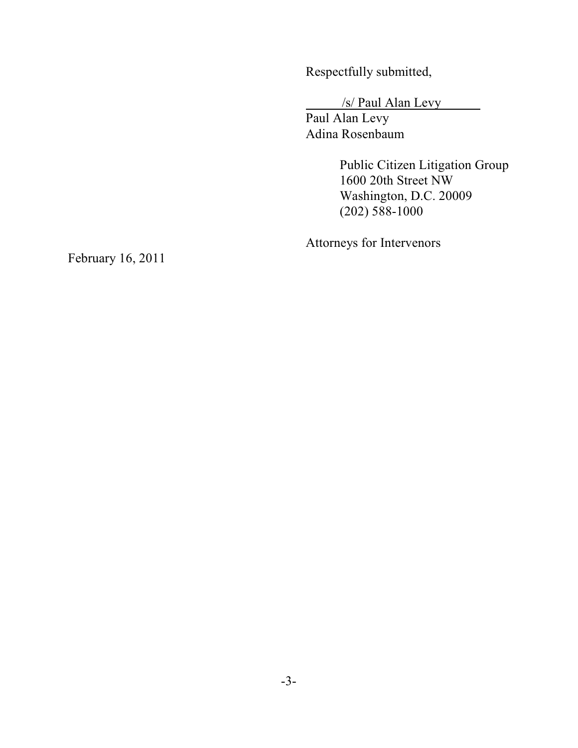Respectfully submitted,

/s/ Paul Alan Levy

Paul Alan Levy Adina Rosenbaum

> Public Citizen Litigation Group 1600 20th Street NW Washington, D.C. 20009 (202) 588-1000

Attorneys for Intervenors

February 16, 2011